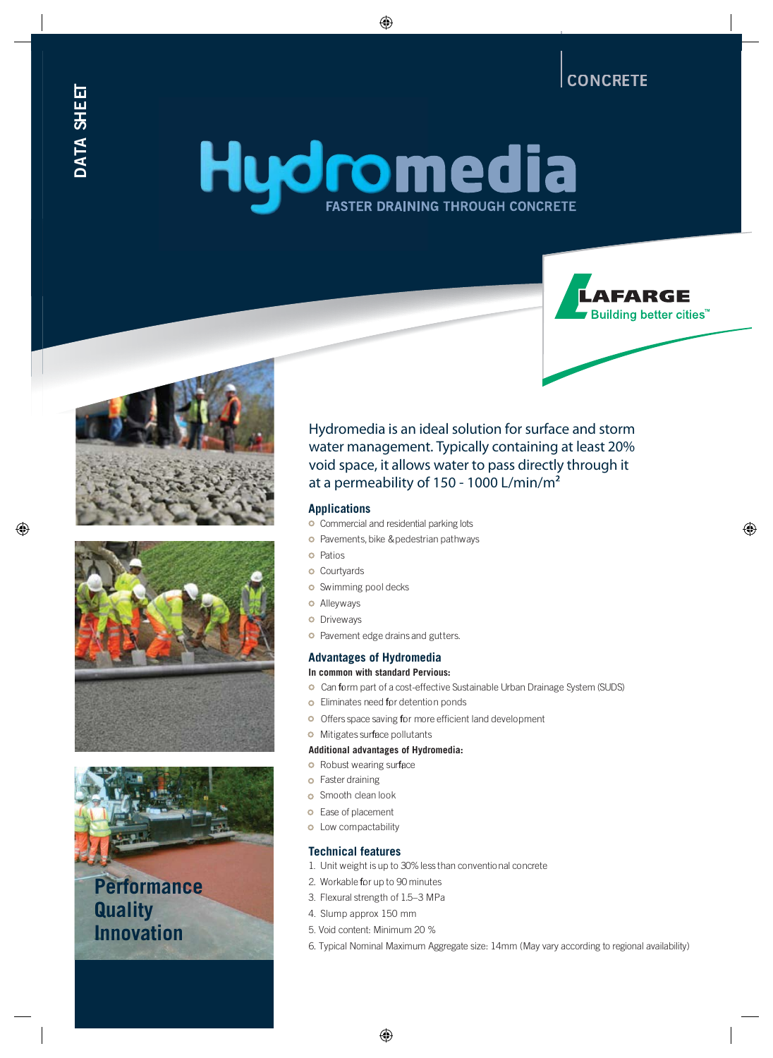**CONCRETE** 

**LAFARGE** 

**Building better cities<sup>™</sup>** 

# Hydmedia **FASTER DRAINING THROUGH CONCRETE**







# **Performance Quality Innovation**

Hydromedia is an ideal solution for surface and storm water management. Typically containing at least 20% void space, it allows water to pass directly through it at a permeability of 150 - 1000 L/min/m<sup>2</sup>

# **Applications**

- **o** Commercial and residential parking lots
- **o** Pavements, bike & pedestrian pathways
- **o** Patios
- **o** Courtyards
- **o** Swimming pool decks
- **o** Alleyways
- **o** Driveways
- Pavement edge drains and gutters.

# **Advantages of Hydromedia**

#### **In common with standard Pervious:**

- Can form part of a cost-effective Sustainable Urban Drainage System (SUDS)
- **o** Eliminates need for detention ponds
- O Offers space saving for more efficient land development
- **o** Mitigates surface pollutants

#### **Additional advantages of Hydromedia:**

- **o** Robust wearing surface
- **o** Faster draining
- **o** Smooth clean look
- **o** Ease of placement
- **o** Low compactability

# **Technical features**

- 1. Unit weight is up to 30%less than conventional concrete
- 2. Workable for up to 90 minutes
- 3. Flexural strength of 1.5–3 MPa
- 4. Slump approx 150 mm
- 5. Void content: Minimum 20 %
- 6. Typical Nominal Maximum Aggregate size: 14mm (May vary according to regional availability)